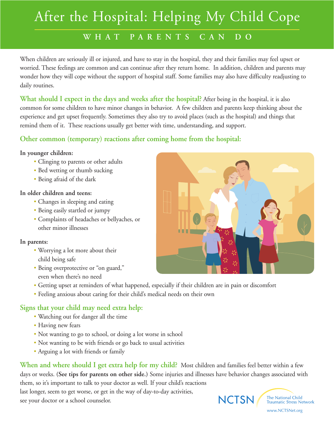# After the Hospital: Helping My Child Cope

# **WHAT PARENTS CAN DO**

When children are seriously ill or injured, and have to stay in the hospital, they and their families may feel upset or worried. These feelings are common and can continue after they return home. In addition, children and parents may wonder how they will cope without the support of hospital staff. Some families may also have difficulty readjusting to daily routines.

**What should I expect in the days and weeks after the hospital?** After being in the hospital, it is also common for some children to have minor changes in behavior. A few children and parents keep thinking about the experience and get upset frequently. Sometimes they also try to avoid places (such as the hospital) and things that remind them of it. These reactions usually get better with time, understanding, and support.

## **Other common (temporary) reactions after coming home from the hospital:**

#### **In younger children:**

- **•** Clinging to parents or other adults
- **•** Bed wetting or thumb sucking
- **•** Being afraid of the dark

#### **In older children and teens:**

- **•** Changes in sleeping and eating
- **•** Being easily startled or jumpy
- **•** Complaints of headaches or bellyaches, or other minor illnesses

#### **In parents:**

- **•** Worrying a lot more about their child being safe
- **•** Being overprotective or "on guard," even when there's no need
- **•** Getting upset at reminders of what happened, especially if their children are in pain or discomfort
- **•** Feeling anxious about caring for their child's medical needs on their own

## **Signs that your child may need extra help:**

- **•** Watching out for danger all the time
- **•** Having new fears
- Not wanting to go to school, or doing a lot worse in school
- **•** Not wanting to be with friends or go back to usual activities
- **•** Arguing a lot with friends or family

**When and where should I get extra help for my child?** Most children and families feel better within a few days or weeks. **(See tips for parents on other side.)** Some injuries and illnesses have behavior changes associated with them, so it's important to talk to your doctor as well. If your child's reactions last longer, seem to get worse, or get in the way of day-to-day activities, The National Child **NCTSN** see your doctor or a school counselor. Traumatic Stress Network



www.NCTSNet.org